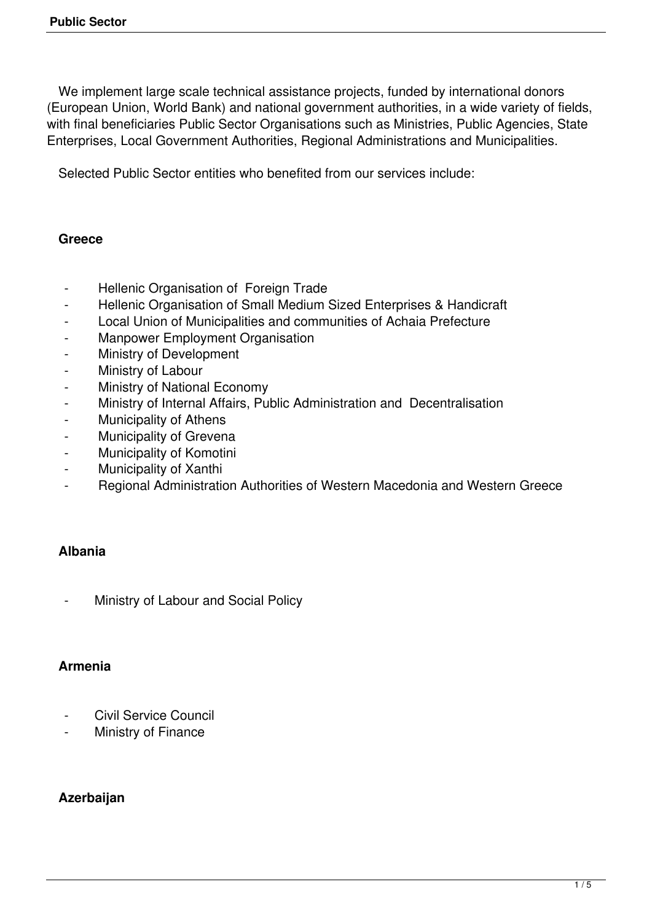We implement large scale technical assistance projects, funded by international donors (European Union, World Bank) and national government authorities, in a wide variety of fields, with final beneficiaries Public Sector Organisations such as Ministries, Public Agencies, State Enterprises, Local Government Authorities, Regional Administrations and Municipalities.

Selected Public Sector entities who benefited from our services include:

### **Greece**

- Hellenic Organisation of Foreign Trade
- Hellenic Organisation of Small Medium Sized Enterprises & Handicraft
- Local Union of Municipalities and communities of Achaia Prefecture
- Manpower Employment Organisation
- Ministry of Development
- Ministry of Labour
- Ministry of National Economy
- Ministry of Internal Affairs, Public Administration and Decentralisation
- Municipality of Athens
- Municipality of Grevena
- Municipality of Komotini
- Municipality of Xanthi
- Regional Administration Authorities of Western Macedonia and Western Greece

### **Albania**

Ministry of Labour and Social Policy

### **Armenia**

- Civil Service Council
- Ministry of Finance

### **Azerbaijan**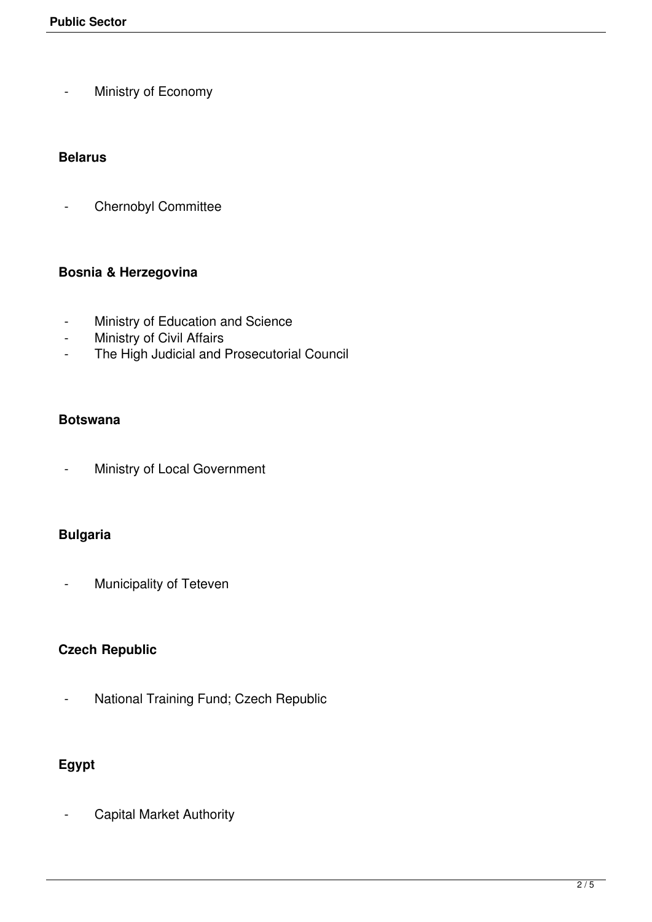- Ministry of Economy

### **Belarus**

- Chernobyl Committee

## **Bosnia & Herzegovina**

- Ministry of Education and Science
- Ministry of Civil Affairs
- The High Judicial and Prosecutorial Council

### **Botswana**

- Ministry of Local Government

## **Bulgaria**

- Municipality of Teteven

### **Czech Republic**

- National Training Fund; Czech Republic

# **Egypt**

Capital Market Authority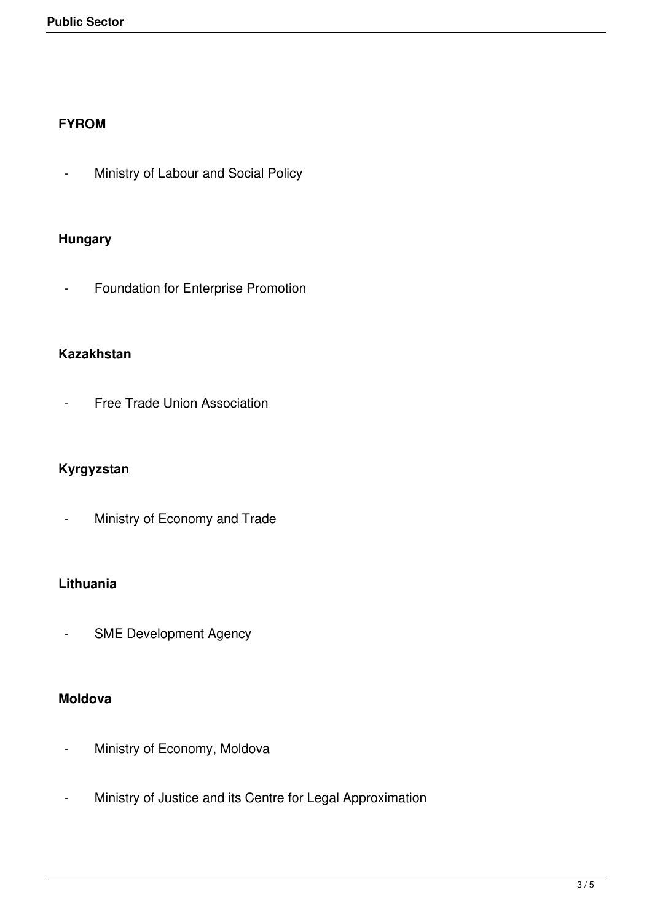### **FYROM**

- Ministry of Labour and Social Policy

## **Hungary**

- Foundation for Enterprise Promotion

## **Kazakhstan**

- Free Trade Union Association

## **Kyrgyzstan**

- Ministry of Economy and Trade

## **Lithuania**

- SME Development Agency

### **Moldova**

- Ministry of Economy, Moldova
- Ministry of Justice and its Centre for Legal Approximation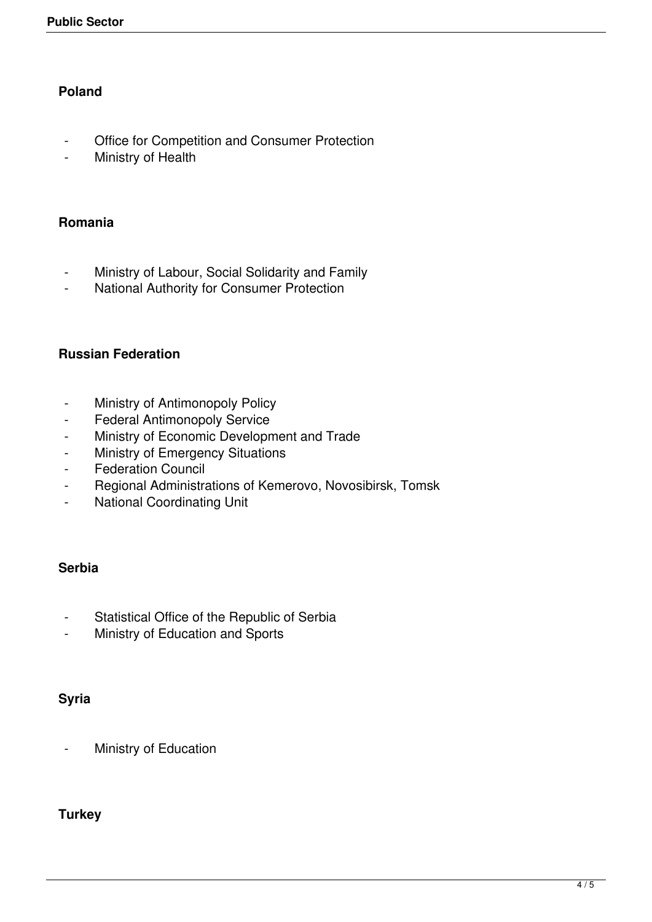## **Poland**

- Office for Competition and Consumer Protection
- Ministry of Health

#### **Romania**

- Ministry of Labour, Social Solidarity and Family
- National Authority for Consumer Protection

### **Russian Federation**

- Ministry of Antimonopoly Policy
- Federal Antimonopoly Service
- Ministry of Economic Development and Trade
- Ministry of Emergency Situations
- Federation Council
- Regional Administrations of Kemerovo, Novosibirsk, Tomsk
- National Coordinating Unit

### **Serbia**

- Statistical Office of the Republic of Serbia
- Ministry of Education and Sports

### **Syria**

- Ministry of Education

## **Turkey**